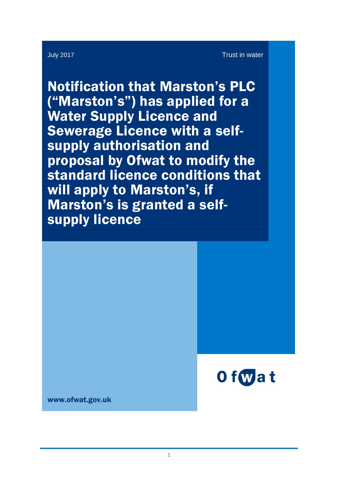Notification that Marston's PLC ("Marston's") has applied for a Water Supply Licence and Sewerage Licence with a selfsupply authorisation and proposal by Ofwat to modify the standard licence conditions that will apply to Marston's, if Marston's is granted a selfsupply licence



www.ofwat.gov.uk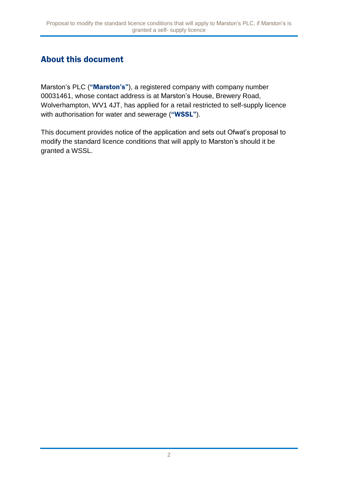## About this document

Marston's PLC ("Marston's"), a registered company with company number 00031461, whose contact address is at Marston's House, Brewery Road, Wolverhampton, WV1 4JT, has applied for a retail restricted to self-supply licence with authorisation for water and sewerage ("WSSL").

This document provides notice of the application and sets out Ofwat's proposal to modify the standard licence conditions that will apply to Marston's should it be granted a WSSL.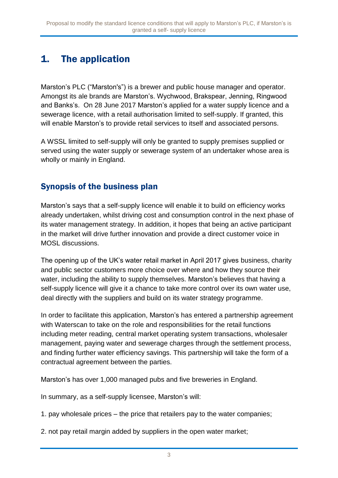# 1. The application

Marston's PLC ("Marston's") is a brewer and public house manager and operator. Amongst its ale brands are Marston's. Wychwood, Brakspear, Jenning, Ringwood and Banks's. On 28 June 2017 Marston's applied for a water supply licence and a sewerage licence, with a retail authorisation limited to self-supply. If granted, this will enable Marston's to provide retail services to itself and associated persons.

A WSSL limited to self-supply will only be granted to supply premises supplied or served using the water supply or sewerage system of an undertaker whose area is wholly or mainly in England.

### Synopsis of the business plan

Marston's says that a self-supply licence will enable it to build on efficiency works already undertaken, whilst driving cost and consumption control in the next phase of its water management strategy. In addition, it hopes that being an active participant in the market will drive further innovation and provide a direct customer voice in MOSL discussions.

The opening up of the UK's water retail market in April 2017 gives business, charity and public sector customers more choice over where and how they source their water, including the ability to supply themselves. Marston's believes that having a self-supply licence will give it a chance to take more control over its own water use, deal directly with the suppliers and build on its water strategy programme.

In order to facilitate this application, Marston's has entered a partnership agreement with Waterscan to take on the role and responsibilities for the retail functions including meter reading, central market operating system transactions, wholesaler management, paying water and sewerage charges through the settlement process, and finding further water efficiency savings. This partnership will take the form of a contractual agreement between the parties.

Marston's has over 1,000 managed pubs and five breweries in England.

In summary, as a self-supply licensee, Marston's will:

1. pay wholesale prices – the price that retailers pay to the water companies;

2. not pay retail margin added by suppliers in the open water market;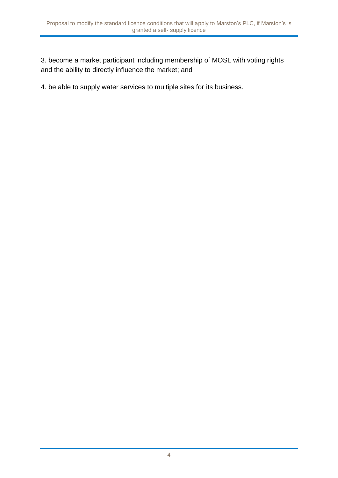3. become a market participant including membership of MOSL with voting rights and the ability to directly influence the market; and

4. be able to supply water services to multiple sites for its business.